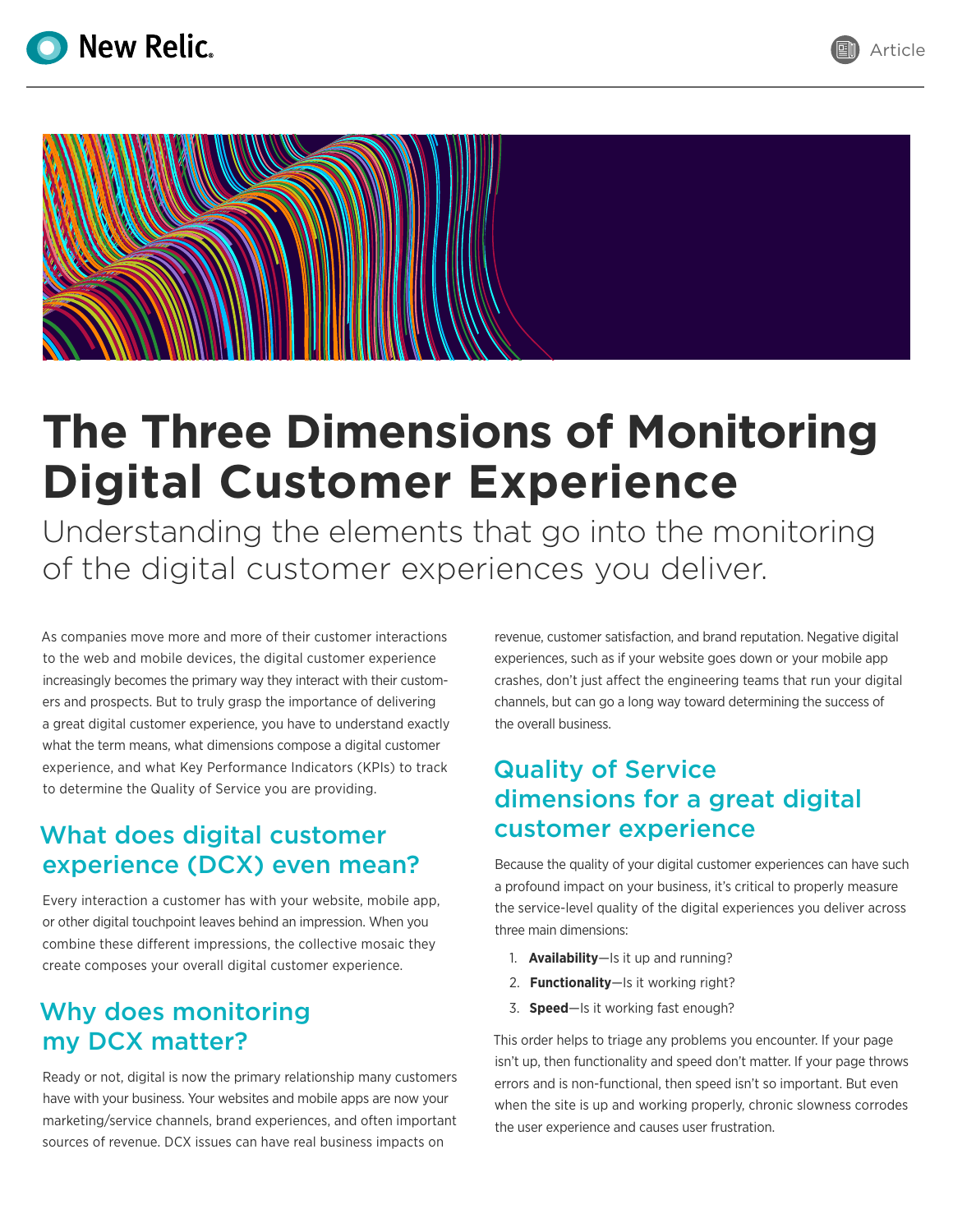





# **The Three Dimensions of Monitoring Digital Customer Experience**

Understanding the elements that go into the monitoring of the digital customer experiences you deliver.

As companies move more and more of their customer interactions to the web and mobile devices, the digital customer experience increasingly becomes the primary way they interact with their customers and prospects. But to truly grasp the importance of delivering a great digital customer experience, you have to understand exactly what the term means, what dimensions compose a digital customer experience, and what Key Performance Indicators (KPIs) to track to determine the Quality of Service you are providing.

# What does digital customer experience (DCX) even mean?

Every interaction a customer has with your website, mobile app, or other digital touchpoint leaves behind an impression. When you combine these different impressions, the collective mosaic they create composes your overall digital customer experience.

# Why does monitoring my DCX matter?

Ready or not, digital is now the primary relationship many customers have with your business. Your websites and mobile apps are now your marketing/service channels, brand experiences, and often important sources of revenue. DCX issues can have real business impacts on

revenue, customer satisfaction, and brand reputation. Negative digital experiences, such as if your website goes down or your mobile app crashes, don't just affect the engineering teams that run your digital channels, but can go a long way toward determining the success of the overall business.

# Quality of Service dimensions for a great digital customer experience

Because the quality of your digital customer experiences can have such a profound impact on your business, it's critical to properly measure the service-level quality of the digital experiences you deliver across three main dimensions:

- 1. **Availability**—Is it up and running?
- 2. **Functionality**—Is it working right?
- 3. **Speed**—Is it working fast enough?

This order helps to triage any problems you encounter. If your page isn't up, then functionality and speed don't matter. If your page throws errors and is non-functional, then speed isn't so important. But even when the site is up and working properly, chronic slowness corrodes the user experience and causes user frustration.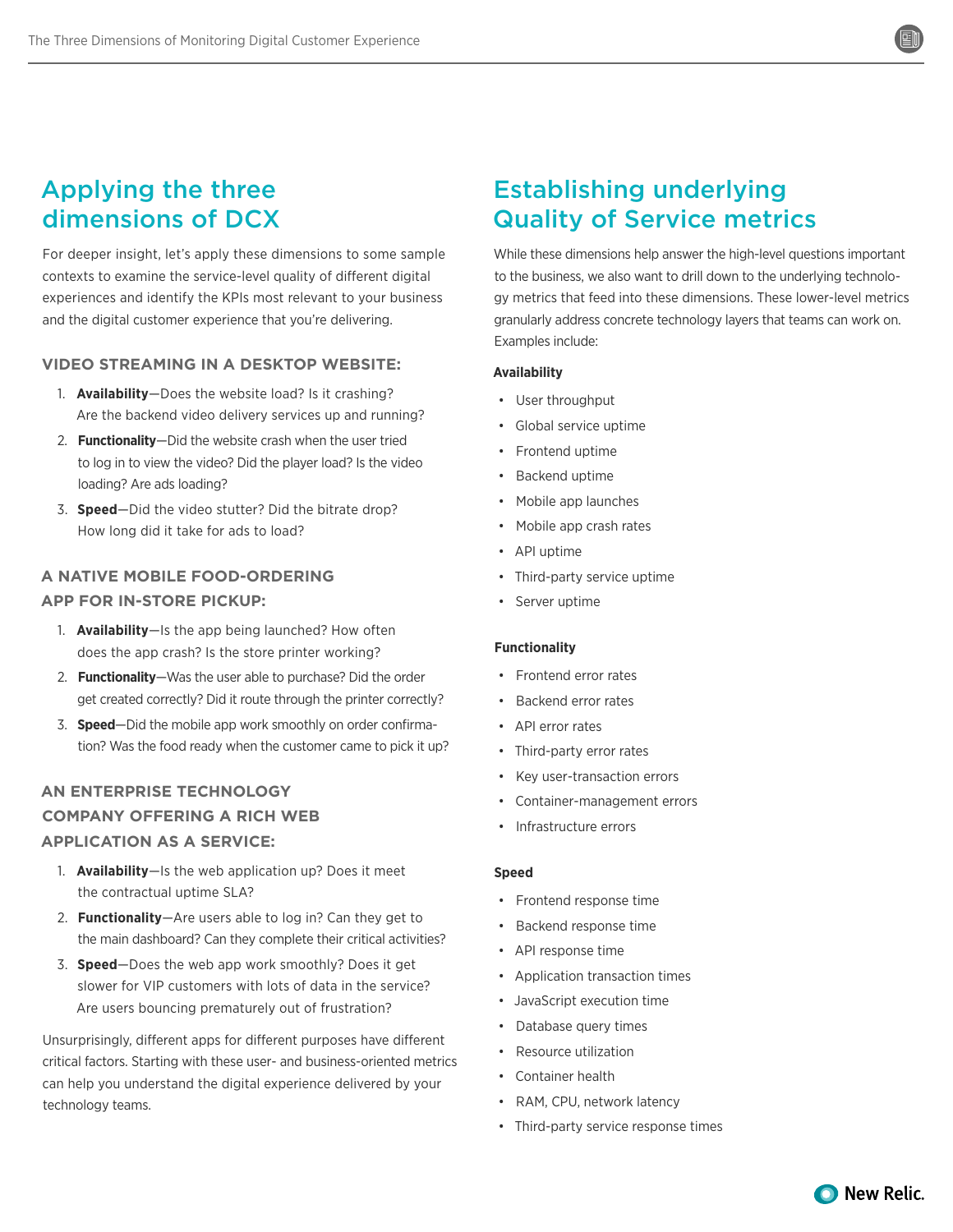## Applying the three dimensions of DCX

For deeper insight, let's apply these dimensions to some sample contexts to examine the service-level quality of different digital experiences and identify the KPIs most relevant to your business and the digital customer experience that you're delivering.

### **VIDEO STREAMING IN A DESKTOP WEBSITE:**

- 1. **Availability**—Does the website load? Is it crashing? Are the backend video delivery services up and running?
- 2. **Functionality**—Did the website crash when the user tried to log in to view the video? Did the player load? Is the video loading? Are ads loading?
- 3. **Speed**—Did the video stutter? Did the bitrate drop? How long did it take for ads to load?

## **A NATIVE MOBILE FOOD-ORDERING APP FOR IN-STORE PICKUP:**

- 1. **Availability**—Is the app being launched? How often does the app crash? Is the store printer working?
- 2. **Functionality**—Was the user able to purchase? Did the order get created correctly? Did it route through the printer correctly?
- 3. **Speed**—Did the mobile app work smoothly on order confirmation? Was the food ready when the customer came to pick it up?

## **AN ENTERPRISE TECHNOLOGY COMPANY OFFERING A RICH WEB APPLICATION AS A SERVICE:**

- 1. **Availability**—Is the web application up? Does it meet the contractual uptime SLA?
- 2. **Functionality**—Are users able to log in? Can they get to the main dashboard? Can they complete their critical activities?
- 3. **Speed**—Does the web app work smoothly? Does it get slower for VIP customers with lots of data in the service? Are users bouncing prematurely out of frustration?

Unsurprisingly, different apps for different purposes have different critical factors. Starting with these user- and business-oriented metrics can help you understand the digital experience delivered by your technology teams.

## Establishing underlying Quality of Service metrics

While these dimensions help answer the high-level questions important to the business, we also want to drill down to the underlying technology metrics that feed into these dimensions. These lower-level metrics granularly address concrete technology layers that teams can work on. Examples include:

#### **Availability**

- User throughput
- Global service uptime
- Frontend uptime
- Backend uptime
- Mobile app launches
- Mobile app crash rates
- API uptime
- Third-party service uptime
- Server uptime

#### **Functionality**

- Frontend error rates
- Backend error rates
- API error rates
- Third-party error rates
- Key user-transaction errors
- Container-management errors
- Infrastructure errors

#### **Speed**

- Frontend response time
- Backend response time
- API response time
- Application transaction times
- JavaScript execution time
- Database query times
- Resource utilization
- Container health
- RAM, CPU, network latency
- Third-party service response times